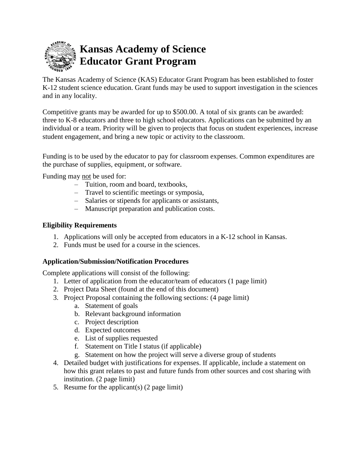

The Kansas Academy of Science (KAS) Educator Grant Program has been established to foster K-12 student science education. Grant funds may be used to support investigation in the sciences and in any locality.

Competitive grants may be awarded for up to \$500.00. A total of six grants can be awarded: three to K-8 educators and three to high school educators. Applications can be submitted by an individual or a team. Priority will be given to projects that focus on student experiences, increase student engagement, and bring a new topic or activity to the classroom.

Funding is to be used by the educator to pay for classroom expenses. Common expenditures are the purchase of supplies, equipment, or software.

Funding may not be used for:

- Tuition, room and board, textbooks,
- Travel to scientific meetings or symposia,
- Salaries or stipends for applicants or assistants,
- Manuscript preparation and publication costs.

#### **Eligibility Requirements**

- 1. Applications will only be accepted from educators in a K-12 school in Kansas.
- 2. Funds must be used for a course in the sciences.

#### **Application/Submission/Notification Procedures**

Complete applications will consist of the following:

- 1. Letter of application from the educator/team of educators (1 page limit)
- 2. Project Data Sheet (found at the end of this document)
- 3. Project Proposal containing the following sections: (4 page limit)
	- a. Statement of goals
	- b. Relevant background information
	- c. Project description
	- d. Expected outcomes
	- e. List of supplies requested
	- f. Statement on Title I status (if applicable)
	- g. Statement on how the project will serve a diverse group of students
- 4. Detailed budget with justifications for expenses. If applicable, include a statement on how this grant relates to past and future funds from other sources and cost sharing with institution. (2 page limit)
- 5. Resume for the applicant(s) (2 page limit)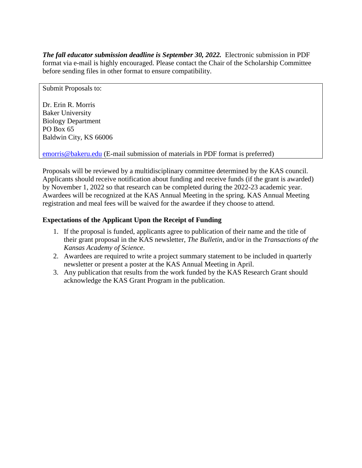*The fall educator submission deadline is September 30, 2022.* Electronic submission in PDF format via e-mail is highly encouraged. Please contact the Chair of the Scholarship Committee before sending files in other format to ensure compatibility.

Submit Proposals to:

Dr. Erin R. Morris Baker University Biology Department PO Box 65 Baldwin City, KS 66006

[emorris@bakeru.edu](mailto:emorris@bakeru.edu) (E-mail submission of materials in PDF format is preferred)

Proposals will be reviewed by a multidisciplinary committee determined by the KAS council. Applicants should receive notification about funding and receive funds (if the grant is awarded) by November 1, 2022 so that research can be completed during the 2022-23 academic year. Awardees will be recognized at the KAS Annual Meeting in the spring. KAS Annual Meeting registration and meal fees will be waived for the awardee if they choose to attend.

## **Expectations of the Applicant Upon the Receipt of Funding**

- 1. If the proposal is funded, applicants agree to publication of their name and the title of their grant proposal in the KAS newsletter, *The Bulletin*, and/or in the *Transactions of the Kansas Academy of Science*.
- 2. Awardees are required to write a project summary statement to be included in quarterly newsletter or present a poster at the KAS Annual Meeting in April.
- 3. Any publication that results from the work funded by the KAS Research Grant should acknowledge the KAS Grant Program in the publication.